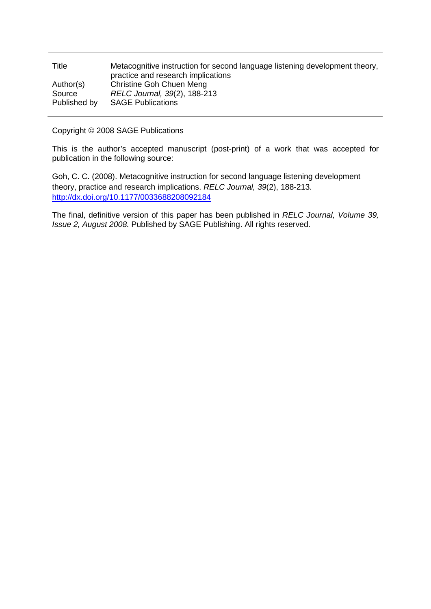| Title        | Metacognitive instruction for second language listening development theory,<br>practice and research implications |
|--------------|-------------------------------------------------------------------------------------------------------------------|
| Author(s)    | Christine Goh Chuen Meng                                                                                          |
| Source       | RELC Journal, 39(2), 188-213                                                                                      |
| Published by | <b>SAGE Publications</b>                                                                                          |

Copyright © 2008 SAGE Publications

This is the author's accepted manuscript (post-print) of a work that was accepted for publication in the following source:

Goh, C. C. (2008). Metacognitive instruction for second language listening development theory, practice and research implications. *RELC Journal, 39*(2), 188-213. <http://dx.doi.org/10.1177/0033688208092184>

The final, definitive version of this paper has been published in *RELC Journal, Volume 39, Issue 2, August 2008.* Published by SAGE Publishing. All rights reserved.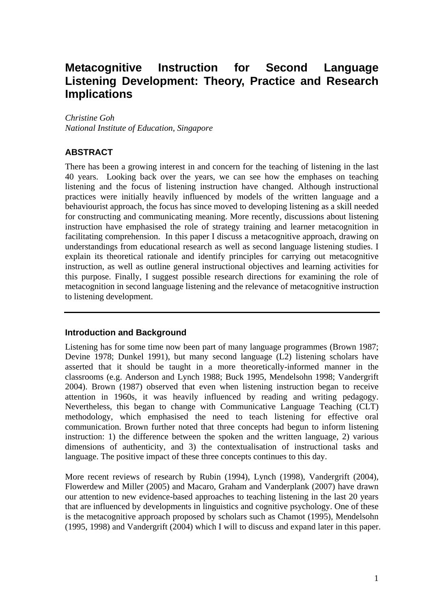# **Metacognitive Instruction for Second Language Listening Development: Theory, Practice and Research Implications**

*Christine Goh National Institute of Education, Singapore*

## **ABSTRACT**

There has been a growing interest in and concern for the teaching of listening in the last 40 years. Looking back over the years, we can see how the emphases on teaching listening and the focus of listening instruction have changed. Although instructional practices were initially heavily influenced by models of the written language and a behaviourist approach, the focus has since moved to developing listening as a skill needed for constructing and communicating meaning. More recently, discussions about listening instruction have emphasised the role of strategy training and learner metacognition in facilitating comprehension. In this paper I discuss a metacognitive approach, drawing on understandings from educational research as well as second language listening studies. I explain its theoretical rationale and identify principles for carrying out metacognitive instruction, as well as outline general instructional objectives and learning activities for this purpose. Finally, I suggest possible research directions for examining the role of metacognition in second language listening and the relevance of metacognitive instruction to listening development.

## **Introduction and Background**

Listening has for some time now been part of many language programmes (Brown 1987; Devine 1978; Dunkel 1991), but many second language (L2) listening scholars have asserted that it should be taught in a more theoretically-informed manner in the classrooms (e.g. Anderson and Lynch 1988; Buck 1995, Mendelsohn 1998; Vandergrift 2004). Brown (1987) observed that even when listening instruction began to receive attention in 1960s, it was heavily influenced by reading and writing pedagogy. Nevertheless, this began to change with Communicative Language Teaching (CLT) methodology, which emphasised the need to teach listening for effective oral communication. Brown further noted that three concepts had begun to inform listening instruction: 1) the difference between the spoken and the written language, 2) various dimensions of authenticity, and 3) the contextualisation of instructional tasks and language. The positive impact of these three concepts continues to this day.

More recent reviews of research by Rubin (1994), Lynch (1998), Vandergrift (2004), Flowerdew and Miller (2005) and Macaro, Graham and Vanderplank (2007) have drawn our attention to new evidence-based approaches to teaching listening in the last 20 years that are influenced by developments in linguistics and cognitive psychology. One of these is the metacognitive approach proposed by scholars such as Chamot (1995), Mendelsohn (1995, 1998) and Vandergrift (2004) which I will to discuss and expand later in this paper.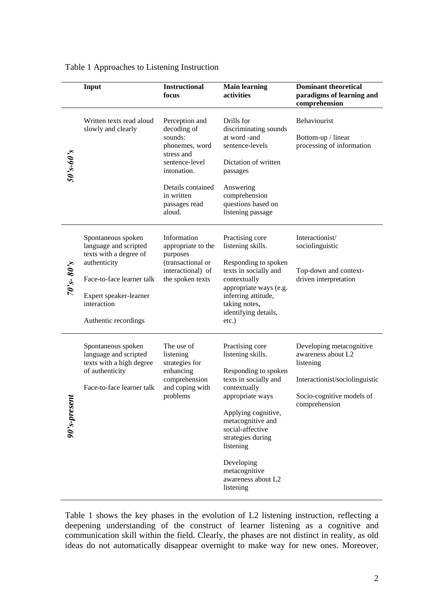|               | Input                                                                                                                                                                               | <b>Instructional</b><br>focus                                                                                                                                           | <b>Main learning</b><br>activities                                                                                                                                                                                                                                                            | <b>Dominant theoretical</b><br>paradigms of learning and<br>comprehension                                                                   |
|---------------|-------------------------------------------------------------------------------------------------------------------------------------------------------------------------------------|-------------------------------------------------------------------------------------------------------------------------------------------------------------------------|-----------------------------------------------------------------------------------------------------------------------------------------------------------------------------------------------------------------------------------------------------------------------------------------------|---------------------------------------------------------------------------------------------------------------------------------------------|
| $50's - 60's$ | Written texts read aloud<br>slowly and clearly                                                                                                                                      | Perception and<br>decoding of<br>sounds:<br>phonemes, word<br>stress and<br>sentence-level<br>intonation.<br>Details contained<br>in written<br>passages read<br>aloud. | Drills for<br>discriminating sounds<br>at word -and<br>sentence-levels<br>Dictation of written<br>passages<br>Answering<br>comprehension<br>questions based on<br>listening passage                                                                                                           | <b>Behaviourist</b><br>Bottom-up / linear<br>processing of information                                                                      |
| $70's - 80's$ | Spontaneous spoken<br>language and scripted<br>texts with a degree of<br>authenticity<br>Face-to-face learner talk<br>Expert speaker-learner<br>interaction<br>Authentic recordings | Information<br>appropriate to the<br>purposes<br>(transactional or<br>interactional) of<br>the spoken texts                                                             | Practising core<br>listening skills.<br>Responding to spoken<br>texts in socially and<br>contextually<br>appropriate ways (e.g.<br>inferring attitude,<br>taking notes,<br>identifying details,<br>$etc.$ )                                                                                   | Interactionist/<br>sociolinguistic<br>Top-down and context-<br>driven interpretation                                                        |
| 90's-present  | Spontaneous spoken<br>language and scripted<br>texts with a high degree<br>of authenticity<br>Face-to-face learner talk                                                             | The use of<br>listening<br>strategies for<br>enhancing<br>comprehension<br>and coping with<br>problems                                                                  | Practising core<br>listening skills.<br>Responding to spoken<br>texts in socially and<br>contextually<br>appropriate ways<br>Applying cognitive,<br>metacognitive and<br>social-affective<br>strategies during<br>listening<br>Developing<br>metacognitive<br>awareness about L2<br>listening | Developing metacognitive<br>awareness about L2<br>listening<br>Interactionist/sociolinguistic<br>Socio-cognitive models of<br>comprehension |

Table 1 Approaches to Listening Instruction

Table 1 shows the key phases in the evolution of L2 listening instruction, reflecting a deepening understanding of the construct of learner listening as a cognitive and communication skill within the field. Clearly, the phases are not distinct in reality, as old ideas do not automatically disappear overnight to make way for new ones. Moreover,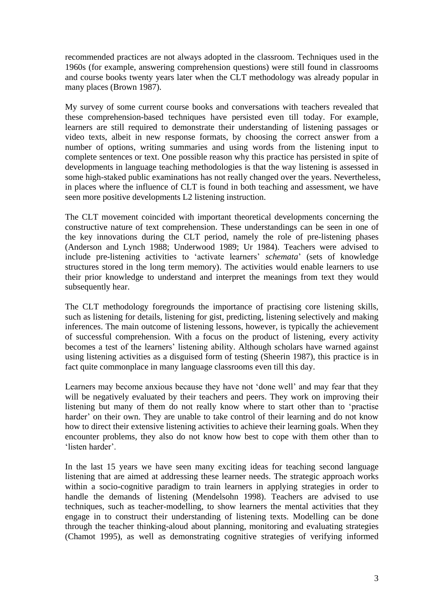recommended practices are not always adopted in the classroom. Techniques used in the 1960s (for example, answering comprehension questions) were still found in classrooms and course books twenty years later when the CLT methodology was already popular in many places (Brown 1987).

My survey of some current course books and conversations with teachers revealed that these comprehension-based techniques have persisted even till today. For example, learners are still required to demonstrate their understanding of listening passages or video texts, albeit in new response formats, by choosing the correct answer from a number of options, writing summaries and using words from the listening input to complete sentences or text. One possible reason why this practice has persisted in spite of developments in language teaching methodologies is that the way listening is assessed in some high-staked public examinations has not really changed over the years. Nevertheless, in places where the influence of CLT is found in both teaching and assessment, we have seen more positive developments L2 listening instruction.

The CLT movement coincided with important theoretical developments concerning the constructive nature of text comprehension. These understandings can be seen in one of the key innovations during the CLT period, namely the role of pre-listening phases (Anderson and Lynch 1988; Underwood 1989; Ur 1984). Teachers were advised to include pre-listening activities to 'activate learners' *schemata*' (sets of knowledge structures stored in the long term memory). The activities would enable learners to use their prior knowledge to understand and interpret the meanings from text they would subsequently hear.

The CLT methodology foregrounds the importance of practising core listening skills, such as listening for details, listening for gist, predicting, listening selectively and making inferences. The main outcome of listening lessons, however, is typically the achievement of successful comprehension. With a focus on the product of listening, every activity becomes a test of the learners' listening ability. Although scholars have warned against using listening activities as a disguised form of testing (Sheerin 1987), this practice is in fact quite commonplace in many language classrooms even till this day.

Learners may become anxious because they have not 'done well' and may fear that they will be negatively evaluated by their teachers and peers. They work on improving their listening but many of them do not really know where to start other than to 'practise harder' on their own. They are unable to take control of their learning and do not know how to direct their extensive listening activities to achieve their learning goals. When they encounter problems, they also do not know how best to cope with them other than to 'listen harder'.

In the last 15 years we have seen many exciting ideas for teaching second language listening that are aimed at addressing these learner needs. The strategic approach works within a socio-cognitive paradigm to train learners in applying strategies in order to handle the demands of listening (Mendelsohn 1998). Teachers are advised to use techniques, such as teacher-modelling, to show learners the mental activities that they engage in to construct their understanding of listening texts. Modelling can be done through the teacher thinking-aloud about planning, monitoring and evaluating strategies (Chamot 1995), as well as demonstrating cognitive strategies of verifying informed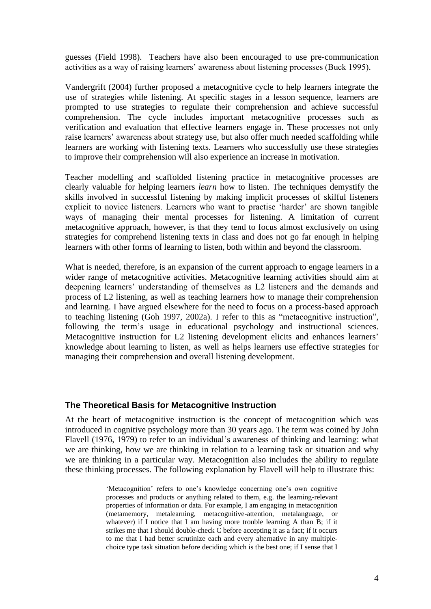guesses (Field 1998). Teachers have also been encouraged to use pre-communication activities as a way of raising learners' awareness about listening processes (Buck 1995).

Vandergrift (2004) further proposed a metacognitive cycle to help learners integrate the use of strategies while listening. At specific stages in a lesson sequence, learners are prompted to use strategies to regulate their comprehension and achieve successful comprehension. The cycle includes important metacognitive processes such as verification and evaluation that effective learners engage in. These processes not only raise learners' awareness about strategy use, but also offer much needed scaffolding while learners are working with listening texts. Learners who successfully use these strategies to improve their comprehension will also experience an increase in motivation.

Teacher modelling and scaffolded listening practice in metacognitive processes are clearly valuable for helping learners *learn* how to listen. The techniques demystify the skills involved in successful listening by making implicit processes of skilful listeners explicit to novice listeners. Learners who want to practise 'harder' are shown tangible ways of managing their mental processes for listening. A limitation of current metacognitive approach, however, is that they tend to focus almost exclusively on using strategies for comprehend listening texts in class and does not go far enough in helping learners with other forms of learning to listen, both within and beyond the classroom.

What is needed, therefore, is an expansion of the current approach to engage learners in a wider range of metacognitive activities. Metacognitive learning activities should aim at deepening learners' understanding of themselves as L2 listeners and the demands and process of L2 listening, as well as teaching learners how to manage their comprehension and learning. I have argued elsewhere for the need to focus on a process-based approach to teaching listening (Goh 1997, 2002a). I refer to this as "metacognitive instruction", following the term's usage in educational psychology and instructional sciences. Metacognitive instruction for L2 listening development elicits and enhances learners' knowledge about learning to listen, as well as helps learners use effective strategies for managing their comprehension and overall listening development.

## **The Theoretical Basis for Metacognitive Instruction**

At the heart of metacognitive instruction is the concept of metacognition which was introduced in cognitive psychology more than 30 years ago. The term was coined by John Flavell (1976, 1979) to refer to an individual's awareness of thinking and learning: what we are thinking, how we are thinking in relation to a learning task or situation and why we are thinking in a particular way. Metacognition also includes the ability to regulate these thinking processes. The following explanation by Flavell will help to illustrate this:

> 'Metacognition' refers to one's knowledge concerning one's own cognitive processes and products or anything related to them, e.g. the learning-relevant properties of information or data. For example, I am engaging in metacognition (metamemory, metalearning, metacognitive-attention, metalanguage, or whatever) if I notice that I am having more trouble learning A than B; if it strikes me that I should double-check C before accepting it as a fact; if it occurs to me that I had better scrutinize each and every alternative in any multiplechoice type task situation before deciding which is the best one; if I sense that I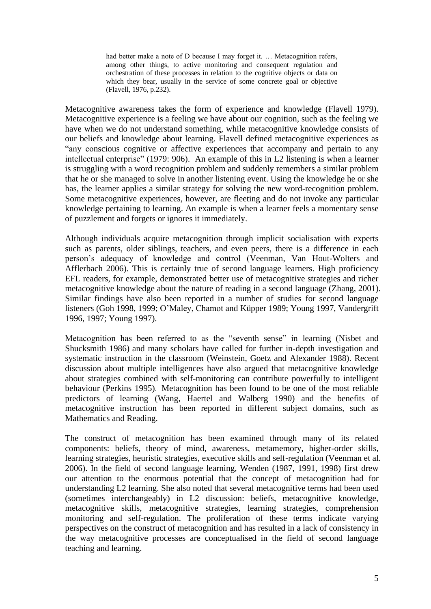had better make a note of D because I may forget it. ... Metacognition refers, among other things, to active monitoring and consequent regulation and orchestration of these processes in relation to the cognitive objects or data on which they bear, usually in the service of some concrete goal or objective (Flavell, 1976, p.232).

Metacognitive awareness takes the form of experience and knowledge (Flavell 1979). Metacognitive experience is a feeling we have about our cognition, such as the feeling we have when we do not understand something, while metacognitive knowledge consists of our beliefs and knowledge about learning. Flavell defined metacognitive experiences as "any conscious cognitive or affective experiences that accompany and pertain to any intellectual enterprise" (1979: 906). An example of this in L2 listening is when a learner is struggling with a word recognition problem and suddenly remembers a similar problem that he or she managed to solve in another listening event. Using the knowledge he or she has, the learner applies a similar strategy for solving the new word-recognition problem. Some metacognitive experiences, however, are fleeting and do not invoke any particular knowledge pertaining to learning. An example is when a learner feels a momentary sense of puzzlement and forgets or ignores it immediately.

Although individuals acquire metacognition through implicit socialisation with experts such as parents, older siblings, teachers, and even peers, there is a difference in each person's adequacy of knowledge and control (Veenman, Van Hout-Wolters and Afflerbach 2006). This is certainly true of second language learners. High proficiency EFL readers, for example, demonstrated better use of metacognitive strategies and richer metacognitive knowledge about the nature of reading in a second language (Zhang, 2001). Similar findings have also been reported in a number of studies for second language listeners (Goh 1998, 1999; O'Maley, Chamot and Küpper 1989; Young 1997, Vandergrift 1996, 1997; Young 1997).

Metacognition has been referred to as the "seventh sense" in learning (Nisbet and Shucksmith 1986) and many scholars have called for further in-depth investigation and systematic instruction in the classroom (Weinstein, Goetz and Alexander 1988). Recent discussion about multiple intelligences have also argued that metacognitive knowledge about strategies combined with self-monitoring can contribute powerfully to intelligent behaviour (Perkins 1995). Metacognition has been found to be one of the most reliable predictors of learning (Wang, Haertel and Walberg 1990) and the benefits of metacognitive instruction has been reported in different subject domains, such as Mathematics and Reading.

The construct of metacognition has been examined through many of its related components: beliefs, theory of mind, awareness, metamemory, higher-order skills, learning strategies, heuristic strategies, executive skills and self-regulation (Veenman et al. 2006). In the field of second language learning, Wenden (1987, 1991, 1998) first drew our attention to the enormous potential that the concept of metacognition had for understanding L2 learning. She also noted that several metacognitive terms had been used (sometimes interchangeably) in L2 discussion: beliefs, metacognitive knowledge, metacognitive skills, metacognitive strategies, learning strategies, comprehension monitoring and self-regulation. The proliferation of these terms indicate varying perspectives on the construct of metacognition and has resulted in a lack of consistency in the way metacognitive processes are conceptualised in the field of second language teaching and learning.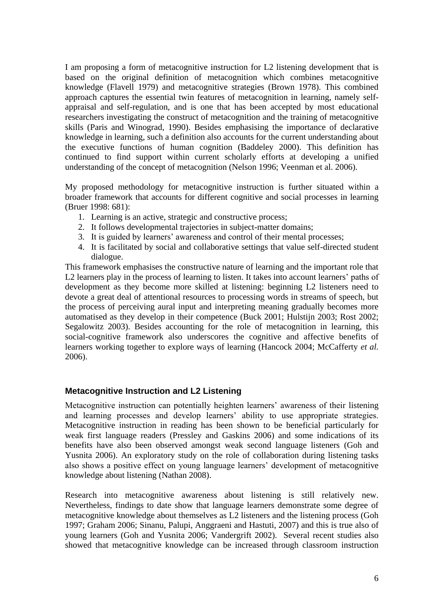I am proposing a form of metacognitive instruction for L2 listening development that is based on the original definition of metacognition which combines metacognitive knowledge (Flavell 1979) and metacognitive strategies (Brown 1978). This combined approach captures the essential twin features of metacognition in learning, namely selfappraisal and self-regulation, and is one that has been accepted by most educational researchers investigating the construct of metacognition and the training of metacognitive skills (Paris and Winograd, 1990). Besides emphasising the importance of declarative knowledge in learning, such a definition also accounts for the current understanding about the executive functions of human cognition (Baddeley 2000). This definition has continued to find support within current scholarly efforts at developing a unified understanding of the concept of metacognition (Nelson 1996; Veenman et al. 2006).

My proposed methodology for metacognitive instruction is further situated within a broader framework that accounts for different cognitive and social processes in learning (Bruer 1998: 681):

- 1. Learning is an active, strategic and constructive process;
- 2. It follows developmental trajectories in subject-matter domains;
- 3. It is guided by learners' awareness and control of their mental processes;
- 4. It is facilitated by social and collaborative settings that value self-directed student dialogue.

This framework emphasises the constructive nature of learning and the important role that L2 learners play in the process of learning to listen. It takes into account learners' paths of development as they become more skilled at listening: beginning L2 listeners need to devote a great deal of attentional resources to processing words in streams of speech, but the process of perceiving aural input and interpreting meaning gradually becomes more automatised as they develop in their competence (Buck 2001; Hulstijn 2003; Rost 2002; Segalowitz 2003). Besides accounting for the role of metacognition in learning, this social-cognitive framework also underscores the cognitive and affective benefits of learners working together to explore ways of learning (Hancock 2004; McCafferty *et al.*  2006).

#### **Metacognitive Instruction and L2 Listening**

Metacognitive instruction can potentially heighten learners' awareness of their listening and learning processes and develop learners' ability to use appropriate strategies. Metacognitive instruction in reading has been shown to be beneficial particularly for weak first language readers (Pressley and Gaskins 2006) and some indications of its benefits have also been observed amongst weak second language listeners (Goh and Yusnita 2006). An exploratory study on the role of collaboration during listening tasks also shows a positive effect on young language learners' development of metacognitive knowledge about listening (Nathan 2008).

Research into metacognitive awareness about listening is still relatively new. Nevertheless, findings to date show that language learners demonstrate some degree of metacognitive knowledge about themselves as L2 listeners and the listening process (Goh 1997; Graham 2006; Sinanu, Palupi, Anggraeni and Hastuti, 2007) and this is true also of young learners (Goh and Yusnita 2006; Vandergrift 2002). Several recent studies also showed that metacognitive knowledge can be increased through classroom instruction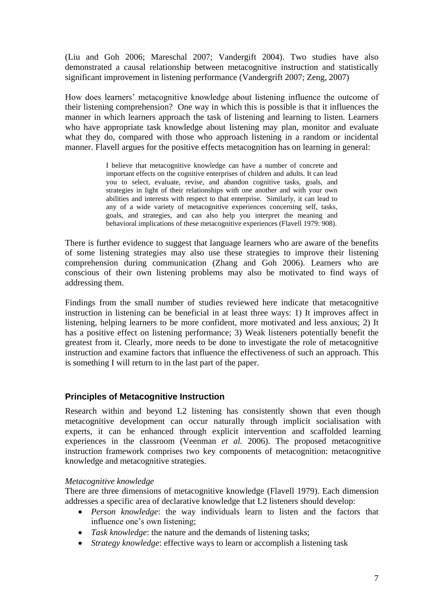(Liu and Goh 2006; Mareschal 2007; Vandergift 2004). Two studies have also demonstrated a causal relationship between metacognitive instruction and statistically significant improvement in listening performance (Vandergrift 2007; Zeng, 2007)

How does learners' metacognitive knowledge about listening influence the outcome of their listening comprehension? One way in which this is possible is that it influences the manner in which learners approach the task of listening and learning to listen. Learners who have appropriate task knowledge about listening may plan, monitor and evaluate what they do, compared with those who approach listening in a random or incidental manner. Flavell argues for the positive effects metacognition has on learning in general:

> I believe that metacognitive knowledge can have a number of concrete and important effects on the cognitive enterprises of children and adults. It can lead you to select, evaluate, revise, and abandon cognitive tasks, goals, and strategies in light of their relationships with one another and with your own abilities and interests with respect to that enterprise. Similarly, it can lead to any of a wide variety of metacognitive experiences concerning self, tasks, goals, and strategies, and can also help you interpret the meaning and behavioral implications of these metacognitive experiences (Flavell 1979: 908).

There is further evidence to suggest that language learners who are aware of the benefits of some listening strategies may also use these strategies to improve their listening comprehension during communication (Zhang and Goh 2006). Learners who are conscious of their own listening problems may also be motivated to find ways of addressing them.

Findings from the small number of studies reviewed here indicate that metacognitive instruction in listening can be beneficial in at least three ways: 1) It improves affect in listening, helping learners to be more confident, more motivated and less anxious; 2) It has a positive effect on listening performance; 3) Weak listeners potentially benefit the greatest from it. Clearly, more needs to be done to investigate the role of metacognitive instruction and examine factors that influence the effectiveness of such an approach. This is something I will return to in the last part of the paper.

## **Principles of Metacognitive Instruction**

Research within and beyond L2 listening has consistently shown that even though metacognitive development can occur naturally through implicit socialisation with experts, it can be enhanced through explicit intervention and scaffolded learning experiences in the classroom (Veenman *et al.* 2006). The proposed metacognitive instruction framework comprises two key components of metacognition: metacognitive knowledge and metacognitive strategies.

#### *Metacognitive knowledge*

There are three dimensions of metacognitive knowledge (Flavell 1979). Each dimension addresses a specific area of declarative knowledge that L2 listeners should develop:

- *Person knowledge*: the way individuals learn to listen and the factors that influence one's own listening;
- *Task knowledge*: the nature and the demands of listening tasks;
- *Strategy knowledge*: effective ways to learn or accomplish a listening task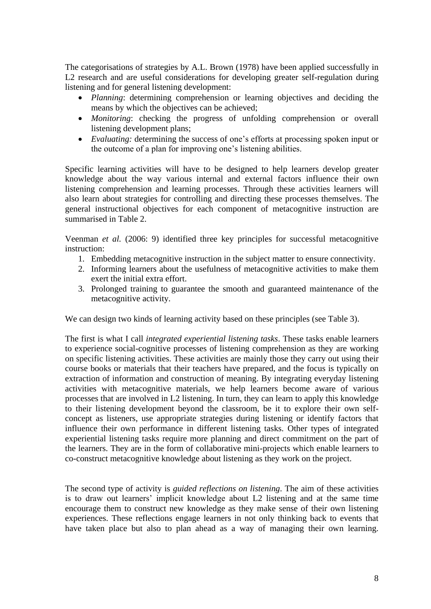The categorisations of strategies by A.L. Brown (1978) have been applied successfully in L<sub>2</sub> research and are useful considerations for developing greater self-regulation during listening and for general listening development:

- *Planning*: determining comprehension or learning objectives and deciding the means by which the objectives can be achieved;
- *Monitoring*: checking the progress of unfolding comprehension or overall listening development plans;
- *Evaluating:* determining the success of one's efforts at processing spoken input or the outcome of a plan for improving one's listening abilities.

Specific learning activities will have to be designed to help learners develop greater knowledge about the way various internal and external factors influence their own listening comprehension and learning processes. Through these activities learners will also learn about strategies for controlling and directing these processes themselves. The general instructional objectives for each component of metacognitive instruction are summarised in Table 2.

Veenman *et al.* (2006: 9) identified three key principles for successful metacognitive instruction:

- 1. Embedding metacognitive instruction in the subject matter to ensure connectivity.
- 2. Informing learners about the usefulness of metacognitive activities to make them exert the initial extra effort.
- 3. Prolonged training to guarantee the smooth and guaranteed maintenance of the metacognitive activity.

We can design two kinds of learning activity based on these principles (see Table 3).

The first is what I call *integrated experiential listening tasks*. These tasks enable learners to experience social-cognitive processes of listening comprehension as they are working on specific listening activities. These activities are mainly those they carry out using their course books or materials that their teachers have prepared, and the focus is typically on extraction of information and construction of meaning. By integrating everyday listening activities with metacognitive materials, we help learners become aware of various processes that are involved in L2 listening. In turn, they can learn to apply this knowledge to their listening development beyond the classroom, be it to explore their own selfconcept as listeners, use appropriate strategies during listening or identify factors that influence their own performance in different listening tasks. Other types of integrated experiential listening tasks require more planning and direct commitment on the part of the learners. They are in the form of collaborative mini-projects which enable learners to co-construct metacognitive knowledge about listening as they work on the project.

The second type of activity is *guided reflections on listening*. The aim of these activities is to draw out learners' implicit knowledge about L2 listening and at the same time encourage them to construct new knowledge as they make sense of their own listening experiences. These reflections engage learners in not only thinking back to events that have taken place but also to plan ahead as a way of managing their own learning.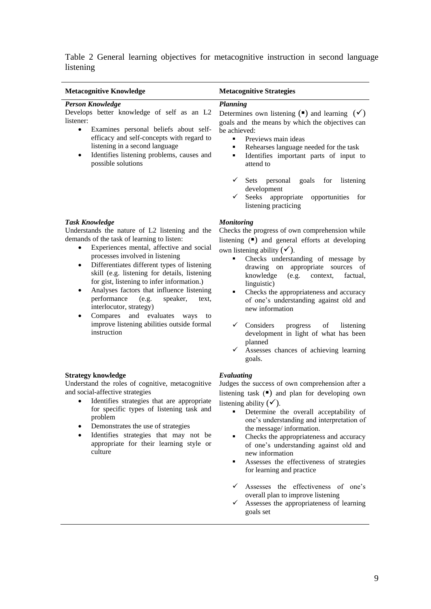Table 2 General learning objectives for metacognitive instruction in second language listening

| <b>Metacognitive Knowledge</b>                                                                                                                                                                                                                                                                                                                                                                                                                                                                                                                                                                                | <b>Metacognitive Strategies</b>                                                                                                                                                                                                                                                                                                                                                                                                                                                                                                                                                                                             |  |
|---------------------------------------------------------------------------------------------------------------------------------------------------------------------------------------------------------------------------------------------------------------------------------------------------------------------------------------------------------------------------------------------------------------------------------------------------------------------------------------------------------------------------------------------------------------------------------------------------------------|-----------------------------------------------------------------------------------------------------------------------------------------------------------------------------------------------------------------------------------------------------------------------------------------------------------------------------------------------------------------------------------------------------------------------------------------------------------------------------------------------------------------------------------------------------------------------------------------------------------------------------|--|
| <b>Person Knowledge</b><br>Develops better knowledge of self as an L2<br>listener:<br>Examines personal beliefs about self-<br>$\bullet$<br>efficacy and self-concepts with regard to<br>listening in a second language<br>Identifies listening problems, causes and<br>$\bullet$<br>possible solutions                                                                                                                                                                                                                                                                                                       | Planning<br>Determines own listening $(\blacksquare)$ and learning $(\checkmark)$<br>goals and the means by which the objectives can<br>be achieved:<br>Previews main ideas<br>$\blacksquare$<br>Rehearses language needed for the task<br>٠<br>Identifies important parts of input to<br>٠<br>attend to<br>personal<br>goals for<br>listening<br>Sets<br>development<br>Seeks<br>appropriate<br>opportunities<br>for<br>listening practicing                                                                                                                                                                               |  |
| <b>Task Knowledge</b><br>Understands the nature of L2 listening and the<br>demands of the task of learning to listen:<br>Experiences mental, affective and social<br>processes involved in listening<br>Differentiates different types of listening<br>$\bullet$<br>skill (e.g. listening for details, listening<br>for gist, listening to infer information.)<br>Analyses factors that influence listening<br>$\bullet$<br>performance<br>(e.g.<br>speaker,<br>text,<br>interlocutor, strategy)<br>Compares<br>and evaluates<br>ways<br>to<br>٠<br>improve listening abilities outside formal<br>instruction | <b>Monitoring</b><br>Checks the progress of own comprehension while<br>listening $(\blacksquare)$ and general efforts at developing<br>own listening ability $(\checkmark)$ .<br>Checks understanding of message by<br>drawing on appropriate sources<br>of<br>knowledge<br>(e.g.<br>context,<br>factual.<br>linguistic)<br>Checks the appropriateness and accuracy<br>$\blacksquare$<br>of one's understanding against old and<br>new information<br>Considers<br>$\checkmark$<br>progress<br>of<br>listening<br>development in light of what has been<br>planned<br>Assesses chances of achieving learning<br>✓<br>goals. |  |
| <b>Strategy knowledge</b>                                                                                                                                                                                                                                                                                                                                                                                                                                                                                                                                                                                     | Evaluating                                                                                                                                                                                                                                                                                                                                                                                                                                                                                                                                                                                                                  |  |

Understand the roles of cognitive, metacognitive and social-affective strategies

 $\overline{a}$ 

 $\mathbf{r}$ 

- Identifies strategies that are appropriate for specific types of listening task and problem
- Demonstrates the use of strategies
- Identifies strategies that may not be appropriate for their learning style or culture

Judges the success of own comprehension after a listening task  $(\blacksquare)$  and plan for developing own listening ability  $(\checkmark)$ .

- Determine the overall acceptability of one's understanding and interpretation of the message/ information.
- Checks the appropriateness and accuracy of one's understanding against old and new information
- **Assesses** the effectiveness of strategies for learning and practice
- $\checkmark$  Assesses the effectiveness of one's overall plan to improve listening
- $\checkmark$  Assesses the appropriateness of learning goals set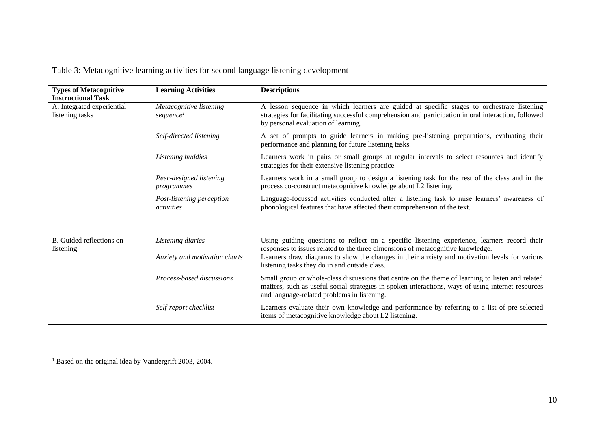| <b>Types of Metacognitive</b><br><b>Instructional Task</b> | <b>Learning Activities</b>                         | <b>Descriptions</b>                                                                                                                                                                                                                                                                                                               |
|------------------------------------------------------------|----------------------------------------------------|-----------------------------------------------------------------------------------------------------------------------------------------------------------------------------------------------------------------------------------------------------------------------------------------------------------------------------------|
| A. Integrated experiential<br>listening tasks              | Metacognitive listening<br>sequence <sup>1</sup>   | A lesson sequence in which learners are guided at specific stages to orchestrate listening<br>strategies for facilitating successful comprehension and participation in oral interaction, followed<br>by personal evaluation of learning.                                                                                         |
|                                                            | Self-directed listening                            | A set of prompts to guide learners in making pre-listening preparations, evaluating their<br>performance and planning for future listening tasks.                                                                                                                                                                                 |
|                                                            | Listening buddies                                  | Learners work in pairs or small groups at regular intervals to select resources and identify<br>strategies for their extensive listening practice.                                                                                                                                                                                |
|                                                            | Peer-designed listening<br>programmes              | Learners work in a small group to design a listening task for the rest of the class and in the<br>process co-construct metacognitive knowledge about L2 listening.                                                                                                                                                                |
|                                                            | Post-listening perception<br>activities            | Language-focussed activities conducted after a listening task to raise learners' awareness of<br>phonological features that have affected their comprehension of the text.                                                                                                                                                        |
| B. Guided reflections on<br>listening                      | Listening diaries<br>Anxiety and motivation charts | Using guiding questions to reflect on a specific listening experience, learners record their<br>responses to issues related to the three dimensions of metacognitive knowledge.<br>Learners draw diagrams to show the changes in their anxiety and motivation levels for various<br>listening tasks they do in and outside class. |
|                                                            | Process-based discussions                          | Small group or whole-class discussions that centre on the theme of learning to listen and related<br>matters, such as useful social strategies in spoken interactions, ways of using internet resources<br>and language-related problems in listening.                                                                            |
|                                                            | Self-report checklist                              | Learners evaluate their own knowledge and performance by referring to a list of pre-selected<br>items of metacognitive knowledge about L2 listening.                                                                                                                                                                              |

Table 3: Metacognitive learning activities for second language listening development

1

<sup>&</sup>lt;sup>1</sup> Based on the original idea by Vandergrift 2003, 2004.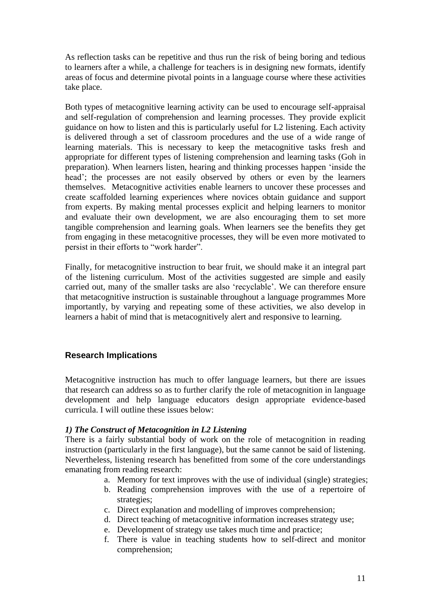As reflection tasks can be repetitive and thus run the risk of being boring and tedious to learners after a while, a challenge for teachers is in designing new formats, identify areas of focus and determine pivotal points in a language course where these activities take place.

Both types of metacognitive learning activity can be used to encourage self-appraisal and self-regulation of comprehension and learning processes. They provide explicit guidance on how to listen and this is particularly useful for L2 listening. Each activity is delivered through a set of classroom procedures and the use of a wide range of learning materials. This is necessary to keep the metacognitive tasks fresh and appropriate for different types of listening comprehension and learning tasks (Goh in preparation). When learners listen, hearing and thinking processes happen 'inside the head'; the processes are not easily observed by others or even by the learners themselves. Metacognitive activities enable learners to uncover these processes and create scaffolded learning experiences where novices obtain guidance and support from experts. By making mental processes explicit and helping learners to monitor and evaluate their own development, we are also encouraging them to set more tangible comprehension and learning goals. When learners see the benefits they get from engaging in these metacognitive processes, they will be even more motivated to persist in their efforts to "work harder".

Finally, for metacognitive instruction to bear fruit, we should make it an integral part of the listening curriculum. Most of the activities suggested are simple and easily carried out, many of the smaller tasks are also 'recyclable'. We can therefore ensure that metacognitive instruction is sustainable throughout a language programmes More importantly, by varying and repeating some of these activities, we also develop in learners a habit of mind that is metacognitively alert and responsive to learning.

## **Research Implications**

Metacognitive instruction has much to offer language learners, but there are issues that research can address so as to further clarify the role of metacognition in language development and help language educators design appropriate evidence-based curricula. I will outline these issues below:

## *1) The Construct of Metacognition in L2 Listening*

There is a fairly substantial body of work on the role of metacognition in reading instruction (particularly in the first language), but the same cannot be said of listening. Nevertheless, listening research has benefitted from some of the core understandings emanating from reading research:

- a. Memory for text improves with the use of individual (single) strategies;
- b. Reading comprehension improves with the use of a repertoire of strategies;
- c. Direct explanation and modelling of improves comprehension;
- d. Direct teaching of metacognitive information increases strategy use;
- e. Development of strategy use takes much time and practice;
- f. There is value in teaching students how to self-direct and monitor comprehension;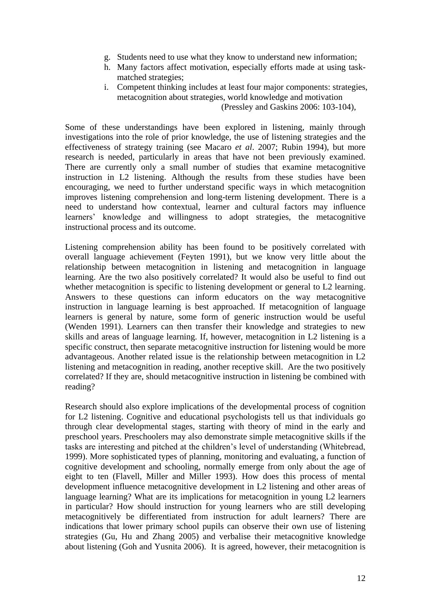- g. Students need to use what they know to understand new information;
- h. Many factors affect motivation, especially efforts made at using taskmatched strategies;
- i. Competent thinking includes at least four major components: strategies, metacognition about strategies, world knowledge and motivation (Pressley and Gaskins 2006: 103-104),

Some of these understandings have been explored in listening, mainly through investigations into the role of prior knowledge, the use of listening strategies and the effectiveness of strategy training (see Macaro *et al*. 2007; Rubin 1994), but more research is needed, particularly in areas that have not been previously examined. There are currently only a small number of studies that examine metacognitive instruction in L2 listening. Although the results from these studies have been encouraging, we need to further understand specific ways in which metacognition improves listening comprehension and long-term listening development. There is a need to understand how contextual, learner and cultural factors may influence learners' knowledge and willingness to adopt strategies, the metacognitive instructional process and its outcome.

Listening comprehension ability has been found to be positively correlated with overall language achievement (Feyten 1991), but we know very little about the relationship between metacognition in listening and metacognition in language learning. Are the two also positively correlated? It would also be useful to find out whether metacognition is specific to listening development or general to L2 learning. Answers to these questions can inform educators on the way metacognitive instruction in language learning is best approached. If metacognition of language learners is general by nature, some form of generic instruction would be useful (Wenden 1991). Learners can then transfer their knowledge and strategies to new skills and areas of language learning. If, however, metacognition in L2 listening is a specific construct, then separate metacognitive instruction for listening would be more advantageous. Another related issue is the relationship between metacognition in L2 listening and metacognition in reading, another receptive skill. Are the two positively correlated? If they are, should metacognitive instruction in listening be combined with reading?

Research should also explore implications of the developmental process of cognition for L2 listening. Cognitive and educational psychologists tell us that individuals go through clear developmental stages, starting with theory of mind in the early and preschool years. Preschoolers may also demonstrate simple metacognitive skills if the tasks are interesting and pitched at the children's level of understanding (Whitebread, 1999). More sophisticated types of planning, monitoring and evaluating, a function of cognitive development and schooling, normally emerge from only about the age of eight to ten (Flavell, Miller and Miller 1993). How does this process of mental development influence metacognitive development in L2 listening and other areas of language learning? What are its implications for metacognition in young L2 learners in particular? How should instruction for young learners who are still developing metacognitively be differentiated from instruction for adult learners? There are indications that lower primary school pupils can observe their own use of listening strategies (Gu, Hu and Zhang 2005) and verbalise their metacognitive knowledge about listening (Goh and Yusnita 2006). It is agreed, however, their metacognition is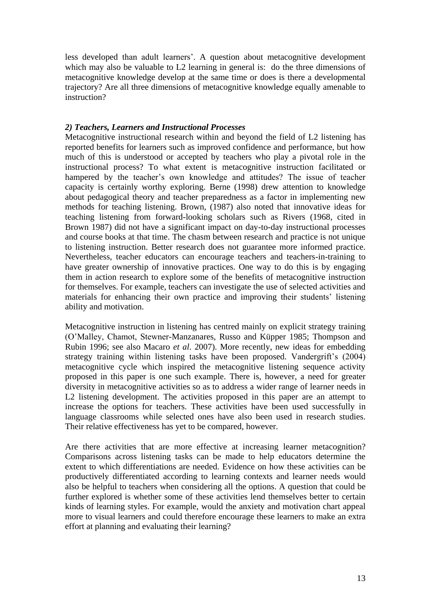less developed than adult learners'. A question about metacognitive development which may also be valuable to L2 learning in general is: do the three dimensions of metacognitive knowledge develop at the same time or does is there a developmental trajectory? Are all three dimensions of metacognitive knowledge equally amenable to instruction?

#### *2) Teachers, Learners and Instructional Processes*

Metacognitive instructional research within and beyond the field of L2 listening has reported benefits for learners such as improved confidence and performance, but how much of this is understood or accepted by teachers who play a pivotal role in the instructional process? To what extent is metacognitive instruction facilitated or hampered by the teacher's own knowledge and attitudes? The issue of teacher capacity is certainly worthy exploring. Berne (1998) drew attention to knowledge about pedagogical theory and teacher preparedness as a factor in implementing new methods for teaching listening. Brown, (1987) also noted that innovative ideas for teaching listening from forward-looking scholars such as Rivers (1968, cited in Brown 1987) did not have a significant impact on day-to-day instructional processes and course books at that time. The chasm between research and practice is not unique to listening instruction. Better research does not guarantee more informed practice. Nevertheless, teacher educators can encourage teachers and teachers-in-training to have greater ownership of innovative practices. One way to do this is by engaging them in action research to explore some of the benefits of metacognitive instruction for themselves. For example, teachers can investigate the use of selected activities and materials for enhancing their own practice and improving their students' listening ability and motivation.

Metacognitive instruction in listening has centred mainly on explicit strategy training (O'Malley, Chamot, Stewner-Manzanares, Russo and Küpper 1985; Thompson and Rubin 1996; see also Macaro *et al*. 2007). More recently, new ideas for embedding strategy training within listening tasks have been proposed. Vandergrift's (2004) metacognitive cycle which inspired the metacognitive listening sequence activity proposed in this paper is one such example. There is, however, a need for greater diversity in metacognitive activities so as to address a wider range of learner needs in L2 listening development. The activities proposed in this paper are an attempt to increase the options for teachers. These activities have been used successfully in language classrooms while selected ones have also been used in research studies. Their relative effectiveness has yet to be compared, however.

Are there activities that are more effective at increasing learner metacognition? Comparisons across listening tasks can be made to help educators determine the extent to which differentiations are needed. Evidence on how these activities can be productively differentiated according to learning contexts and learner needs would also be helpful to teachers when considering all the options. A question that could be further explored is whether some of these activities lend themselves better to certain kinds of learning styles. For example, would the anxiety and motivation chart appeal more to visual learners and could therefore encourage these learners to make an extra effort at planning and evaluating their learning?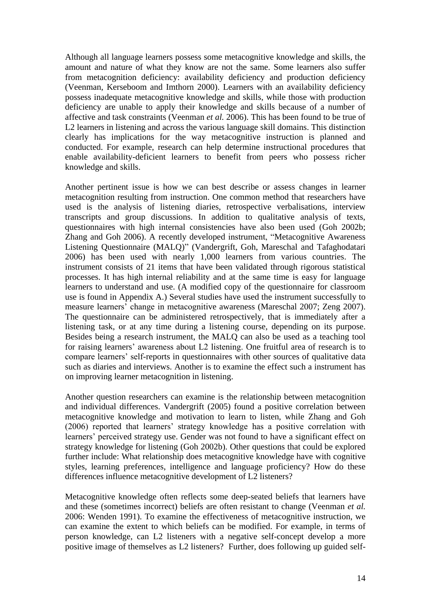Although all language learners possess some metacognitive knowledge and skills, the amount and nature of what they know are not the same. Some learners also suffer from metacognition deficiency: availability deficiency and production deficiency (Veenman, Kerseboom and Imthorn 2000). Learners with an availability deficiency possess inadequate metacognitive knowledge and skills, while those with production deficiency are unable to apply their knowledge and skills because of a number of affective and task constraints (Veenman *et al.* 2006). This has been found to be true of L<sub>2</sub> learners in listening and across the various language skill domains. This distinction clearly has implications for the way metacognitive instruction is planned and conducted. For example, research can help determine instructional procedures that enable availability-deficient learners to benefit from peers who possess richer knowledge and skills.

Another pertinent issue is how we can best describe or assess changes in learner metacognition resulting from instruction. One common method that researchers have used is the analysis of listening diaries, retrospective verbalisations, interview transcripts and group discussions. In addition to qualitative analysis of texts, questionnaires with high internal consistencies have also been used (Goh 2002b; Zhang and Goh 2006). A recently developed instrument, "Metacognitive Awareness Listening Questionnaire (MALQ)" (Vandergrift, Goh, Mareschal and Tafaghodatari 2006) has been used with nearly 1,000 learners from various countries. The instrument consists of 21 items that have been validated through rigorous statistical processes. It has high internal reliability and at the same time is easy for language learners to understand and use. (A modified copy of the questionnaire for classroom use is found in Appendix A.) Several studies have used the instrument successfully to measure learners' change in metacognitive awareness (Mareschal 2007; Zeng 2007). The questionnaire can be administered retrospectively, that is immediately after a listening task, or at any time during a listening course, depending on its purpose. Besides being a research instrument, the MALQ can also be used as a teaching tool for raising learners' awareness about L2 listening. One fruitful area of research is to compare learners' self-reports in questionnaires with other sources of qualitative data such as diaries and interviews. Another is to examine the effect such a instrument has on improving learner metacognition in listening.

Another question researchers can examine is the relationship between metacognition and individual differences. Vandergrift (2005) found a positive correlation between metacognitive knowledge and motivation to learn to listen, while Zhang and Goh (2006) reported that learners' strategy knowledge has a positive correlation with learners' perceived strategy use. Gender was not found to have a significant effect on strategy knowledge for listening (Goh 2002b). Other questions that could be explored further include: What relationship does metacognitive knowledge have with cognitive styles, learning preferences, intelligence and language proficiency? How do these differences influence metacognitive development of L2 listeners?

Metacognitive knowledge often reflects some deep-seated beliefs that learners have and these (sometimes incorrect) beliefs are often resistant to change (Veenman *et al.* 2006: Wenden 1991). To examine the effectiveness of metacognitive instruction, we can examine the extent to which beliefs can be modified. For example, in terms of person knowledge, can L2 listeners with a negative self-concept develop a more positive image of themselves as L2 listeners? Further, does following up guided self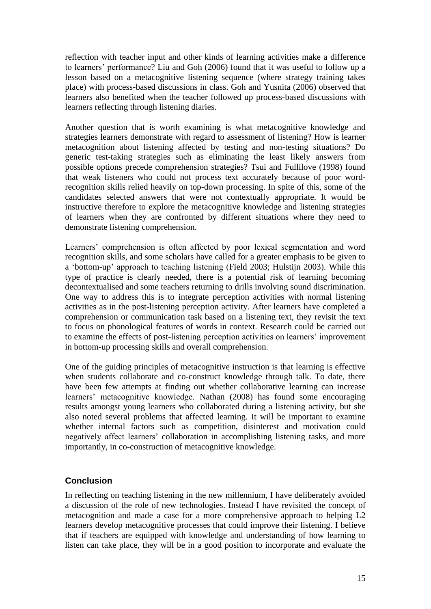reflection with teacher input and other kinds of learning activities make a difference to learners' performance? Liu and Goh (2006) found that it was useful to follow up a lesson based on a metacognitive listening sequence (where strategy training takes place) with process-based discussions in class. Goh and Yusnita (2006) observed that learners also benefited when the teacher followed up process-based discussions with learners reflecting through listening diaries.

Another question that is worth examining is what metacognitive knowledge and strategies learners demonstrate with regard to assessment of listening? How is learner metacognition about listening affected by testing and non-testing situations? Do generic test-taking strategies such as eliminating the least likely answers from possible options precede comprehension strategies? Tsui and Fullilove (1998) found that weak listeners who could not process text accurately because of poor wordrecognition skills relied heavily on top-down processing. In spite of this, some of the candidates selected answers that were not contextually appropriate. It would be instructive therefore to explore the metacognitive knowledge and listening strategies of learners when they are confronted by different situations where they need to demonstrate listening comprehension.

Learners' comprehension is often affected by poor lexical segmentation and word recognition skills, and some scholars have called for a greater emphasis to be given to a 'bottom-up' approach to teaching listening (Field 2003; Hulstijn 2003). While this type of practice is clearly needed, there is a potential risk of learning becoming decontextualised and some teachers returning to drills involving sound discrimination. One way to address this is to integrate perception activities with normal listening activities as in the post-listening perception activity. After learners have completed a comprehension or communication task based on a listening text, they revisit the text to focus on phonological features of words in context. Research could be carried out to examine the effects of post-listening perception activities on learners' improvement in bottom-up processing skills and overall comprehension.

One of the guiding principles of metacognitive instruction is that learning is effective when students collaborate and co-construct knowledge through talk. To date, there have been few attempts at finding out whether collaborative learning can increase learners' metacognitive knowledge. Nathan (2008) has found some encouraging results amongst young learners who collaborated during a listening activity, but she also noted several problems that affected learning. It will be important to examine whether internal factors such as competition, disinterest and motivation could negatively affect learners' collaboration in accomplishing listening tasks, and more importantly, in co-construction of metacognitive knowledge.

## **Conclusion**

In reflecting on teaching listening in the new millennium, I have deliberately avoided a discussion of the role of new technologies. Instead I have revisited the concept of metacognition and made a case for a more comprehensive approach to helping L2 learners develop metacognitive processes that could improve their listening. I believe that if teachers are equipped with knowledge and understanding of how learning to listen can take place, they will be in a good position to incorporate and evaluate the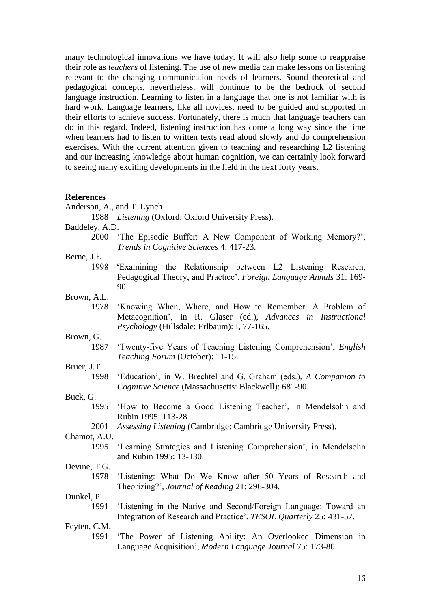many technological innovations we have today. It will also help some to reappraise their role as *teachers* of listening. The use of new media can make lessons on listening relevant to the changing communication needs of learners. Sound theoretical and pedagogical concepts, nevertheless, will continue to be the bedrock of second language instruction. Learning to listen in a language that one is not familiar with is hard work. Language learners, like all novices, need to be guided and supported in their efforts to achieve success. Fortunately, there is much that language teachers can do in this regard. Indeed, listening instruction has come a long way since the time when learners had to listen to written texts read aloud slowly and do comprehension exercises. With the current attention given to teaching and researching L2 listening and our increasing knowledge about human cognition, we can certainly look forward to seeing many exciting developments in the field in the next forty years.

#### **References**

| Anderson, A., and T. Lynch |                                                                                                                                                                         |
|----------------------------|-------------------------------------------------------------------------------------------------------------------------------------------------------------------------|
| 1988                       | Listening (Oxford: Oxford University Press).                                                                                                                            |
| Baddeley, A.D.             |                                                                                                                                                                         |
| 2000                       | 'The Episodic Buffer: A New Component of Working Memory?',<br>Trends in Cognitive Sciences 4: 417-23.                                                                   |
| Berne, J.E.                |                                                                                                                                                                         |
| 1998                       | 'Examining the Relationship between L2 Listening Research,<br>Pedagogical Theory, and Practice', Foreign Language Annals 31: 169-<br>90.                                |
| Brown, A.L.                |                                                                                                                                                                         |
| 1978                       | 'Knowing When, Where, and How to Remember: A Problem of<br>Metacognition', in R. Glaser (ed.), Advances in Instructional<br>Psychology (Hillsdale: Erlbaum): I, 77-165. |
| Brown, G.                  |                                                                                                                                                                         |
| 1987                       | 'Twenty-five Years of Teaching Listening Comprehension', English<br>Teaching Forum (October): 11-15.                                                                    |
| Bruer, J.T.                |                                                                                                                                                                         |
| 1998                       | 'Education', in W. Brechtel and G. Graham (eds.), A Companion to<br>Cognitive Science (Massachusetts: Blackwell): 681-90.                                               |
| Buck, G.                   |                                                                                                                                                                         |
| 1995                       | 'How to Become a Good Listening Teacher', in Mendelsohn and<br>Rubin 1995: 113-28.                                                                                      |
| 2001                       | Assessing Listening (Cambridge: Cambridge University Press).                                                                                                            |
| Chamot, A.U.               |                                                                                                                                                                         |
| 1995                       | 'Learning Strategies and Listening Comprehension', in Mendelsohn<br>and Rubin 1995: 13-130.                                                                             |
| Devine, T.G.               |                                                                                                                                                                         |
| 1978                       | 'Listening: What Do We Know after 50 Years of Research and<br>Theorizing?', Journal of Reading 21: 296-304.                                                             |
| Dunkel, P.                 |                                                                                                                                                                         |
| 1991                       | 'Listening in the Native and Second/Foreign Language: Toward an<br>Integration of Research and Practice', TESOL Quarterly 25: 431-57.                                   |
| Feyten, C.M.               |                                                                                                                                                                         |
| 1991                       | 'The Power of Listening Ability: An Overlooked Dimension in<br>Language Acquisition', Modern Language Journal 75: 173-80.                                               |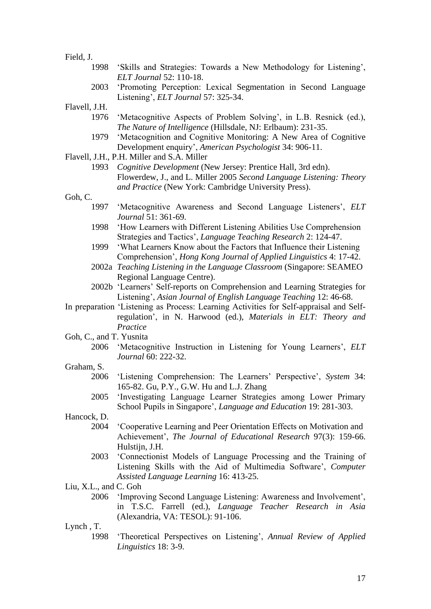Field, J.

- 1998 'Skills and Strategies: Towards a New Methodology for Listening', *ELT Journal* 52: 110-18.
- 2003 'Promoting Perception: Lexical Segmentation in Second Language Listening', *ELT Journal* 57: 325-34.

Flavell, J.H.

- 1976 'Metacognitive Aspects of Problem Solving', in L.B. Resnick (ed.), *The Nature of Intelligence* (Hillsdale, NJ: Erlbaum): 231-35.
- 1979 'Metacognition and Cognitive Monitoring: A New Area of Cognitive Development enquiry', *American Psychologist* 34: 906-11.

Flavell, J.H., P.H. Miller and S.A. Miller

1993 *Cognitive Development* (New Jersey: Prentice Hall, 3rd edn). Flowerdew, J., and L. Miller 2005 *Second Language Listening: Theory and Practice* (New York: Cambridge University Press).

Goh, C.

- 1997 'Metacognitive Awareness and Second Language Listeners', *ELT Journal* 51: 361-69.
- 1998 'How Learners with Different Listening Abilities Use Comprehension Strategies and Tactics', *Language Teaching Research* 2: 124-47.
- 1999 'What Learners Know about the Factors that Influence their Listening Comprehension', *Hong Kong Journal of Applied Linguistics* 4: 17-42.
- 2002a *Teaching Listening in the Language Classroom* (Singapore: SEAMEO Regional Language Centre).
- 2002b 'Learners' Self-reports on Comprehension and Learning Strategies for Listening', *Asian Journal of English Language Teaching* 12: 46-68.
- In preparation 'Listening as Process: Learning Activities for Self-appraisal and Selfregulation', in N. Harwood (ed.), *Materials in ELT: Theory and Practice*
- Goh, C., and T. Yusnita
	- 2006 'Metacognitive Instruction in Listening for Young Learners', *ELT Journal* 60: 222-32.

Graham, S.

- 2006 'Listening Comprehension: The Learners' Perspective', *System* 34: 165-82. Gu, P.Y., G.W. Hu and L.J. Zhang
- 2005 'Investigating Language Learner Strategies among Lower Primary School Pupils in Singapore', *Language and Education* 19: 281-303.

Hancock, D.

- 2004 'Cooperative Learning and Peer Orientation Effects on Motivation and Achievement', *The Journal of Educational Research* 97(3): 159-66. Hulstiin, J.H.
- 2003 'Connectionist Models of Language Processing and the Training of Listening Skills with the Aid of Multimedia Software', *Computer Assisted Language Learning* 16: 413-25.

Liu, X.L., and C. Goh

2006 'Improving Second Language Listening: Awareness and Involvement', in T.S.C. Farrell (ed.), *Language Teacher Research in Asia*  (Alexandria, VA: TESOL): 91-106.

Lynch , T.

1998 'Theoretical Perspectives on Listening', *Annual Review of Applied Linguistics* 18: 3-9.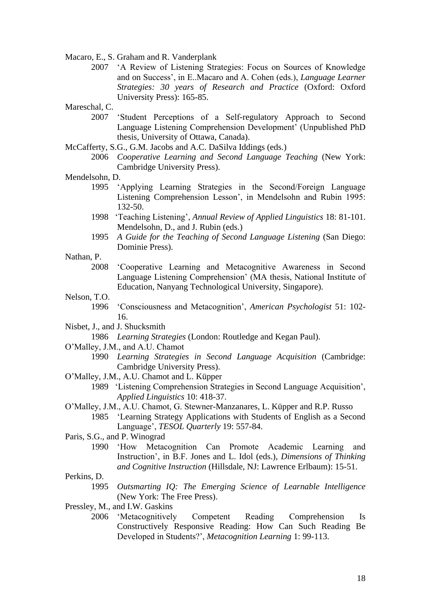Macaro, E., S. Graham and R. Vanderplank

2007 'A Review of Listening Strategies: Focus on Sources of Knowledge and on Success', in E..Macaro and A. Cohen (eds.), *Language Learner Strategies: 30 years of Research and Practice* (Oxford: Oxford University Press): 165-85.

Mareschal, C.

- 2007 'Student Perceptions of a Self-regulatory Approach to Second Language Listening Comprehension Development' (Unpublished PhD thesis, University of Ottawa, Canada).
- McCafferty, S.G., G.M. Jacobs and A.C. DaSilva Iddings (eds.)
	- 2006 *Cooperative Learning and Second Language Teaching* (New York: Cambridge University Press).
- Mendelsohn, D.
	- 1995 'Applying Learning Strategies in the Second/Foreign Language Listening Comprehension Lesson', in Mendelsohn and Rubin 1995: 132-50.
	- 1998 'Teaching Listening', *Annual Review of Applied Linguistics* 18: 81-101. Mendelsohn, D., and J. Rubin (eds.)
	- 1995 *A Guide for the Teaching of Second Language Listening* (San Diego: Dominie Press).

Nathan, P.

2008 'Cooperative Learning and Metacognitive Awareness in Second Language Listening Comprehension' (MA thesis, National Institute of Education, Nanyang Technological University, Singapore).

Nelson, T.O.

- 1996 'Consciousness and Metacognition', *American Psychologist* 51: 102- 16.
- Nisbet, J., and J. Shucksmith

1986 *Learning Strategies* (London: Routledge and Kegan Paul).

- O'Malley, J.M., and A.U. Chamot
	- 1990 *Learning Strategies in Second Language Acquisition* (Cambridge: Cambridge University Press).
- O'Malley, J.M., A.U. Chamot and L. Küpper
	- 1989 'Listening Comprehension Strategies in Second Language Acquisition', *Applied Linguistics* 10: 418-37.
- O'Malley, J.M., A.U. Chamot, G. Stewner-Manzanares, L. Küpper and R.P. Russo
	- 1985 'Learning Strategy Applications with Students of English as a Second Language', *TESOL Quarterly* 19: 557-84.

Paris, S.G., and P. Winograd

1990 'How Metacognition Can Promote Academic Learning and Instruction', in B.F. Jones and L. Idol (eds.), *Dimensions of Thinking and Cognitive Instruction* (Hillsdale, NJ: Lawrence Erlbaum): 15-51.

Perkins, D.

1995 *Outsmarting IQ: The Emerging Science of Learnable Intelligence*  (New York: The Free Press).

Pressley, M., and I.W. Gaskins

2006 'Metacognitively Competent Reading Comprehension Is Constructively Responsive Reading: How Can Such Reading Be Developed in Students?', *Metacognition Learning* 1: 99-113.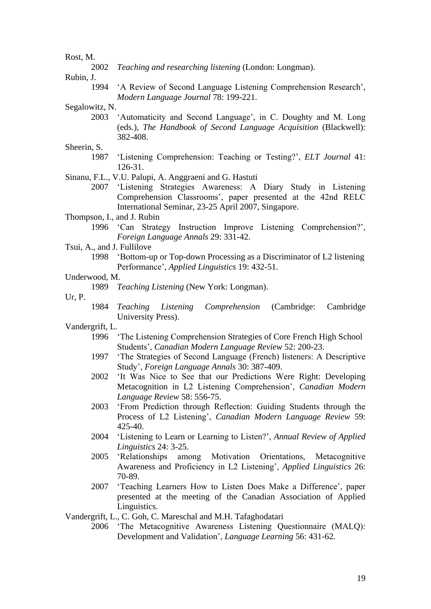Rost, M.

2002 *Teaching and researching listening* (London: Longman).

Rubin, J.

1994 'A Review of Second Language Listening Comprehension Research', *Modern Language Journal* 78: 199-221.

Segalowitz, N.

2003 'Automaticity and Second Language', in C. Doughty and M. Long (eds.), *The Handbook of Second Language Acquisition* (Blackwell): 382-408.

#### Sheerin, S.

- 1987 'Listening Comprehension: Teaching or Testing?', *ELT Journal* 41: 126-31.
- Sinanu, F.L., V.U. Palupi, A. Anggraeni and G. Hastuti
	- 2007 'Listening Strategies Awareness: A Diary Study in Listening Comprehension Classrooms', paper presented at the 42nd RELC International Seminar, 23-25 April 2007, Singapore.

#### Thompson, I., and J. Rubin

- 1996 'Can Strategy Instruction Improve Listening Comprehension?', *Foreign Language Annals* 29: 331-42.
- Tsui, A., and J. Fullilove
	- 1998 'Bottom-up or Top-down Processing as a Discriminator of L2 listening Performance', *Applied Linguistics* 19: 432-51.

#### Underwood, M.

1989 *Teaching Listening* (New York: Longman).

#### Ur, P.

1984 *Teaching Listening Comprehension* (Cambridge: Cambridge University Press).

Vandergrift, L.

- 1996 'The Listening Comprehension Strategies of Core French High School Students', *Canadian Modern Language Review* 52: 200-23.
- 1997 'The Strategies of Second Language (French) listeners: A Descriptive Study', *Foreign Language Annals* 30: 387-409.
- 2002 'It Was Nice to See that our Predictions Were Right: Developing Metacognition in L2 Listening Comprehension', *Canadian Modern Language Review* 58: 556-75.
- 2003 'From Prediction through Reflection: Guiding Students through the Process of L2 Listening', *Canadian Modern Language Review* 59: 425-40.
- 2004 'Listening to Learn or Learning to Listen?', *Annual Review of Applied Linguistics* 24: 3-25.
- 2005 'Relationships among Motivation Orientations, Metacognitive Awareness and Proficiency in L2 Listening', *Applied Linguistics* 26: 70-89.
- 2007 'Teaching Learners How to Listen Does Make a Difference', paper presented at the meeting of the Canadian Association of Applied Linguistics.

Vandergrift, L., C. Goh, C. Mareschal and M.H. Tafaghodatari

2006 'The Metacognitive Awareness Listening Questionnaire (MALQ): Development and Validation', *Language Learning* 56: 431-62.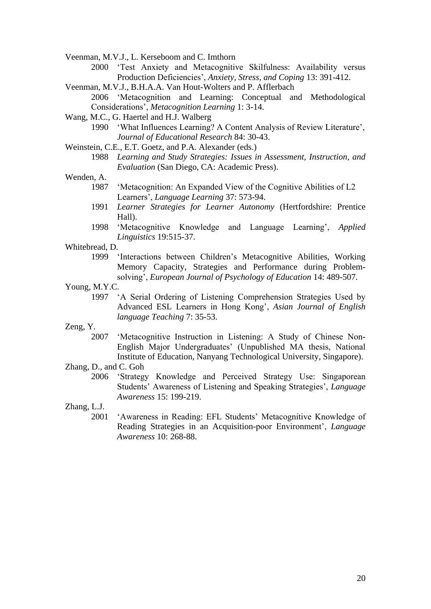Veenman, M.V.J., L. Kerseboom and C. Imthorn

- 2000 'Test Anxiety and Metacognitive Skilfulness: Availability versus Production Deficiencies', *Anxiety, Stress, and Coping* 13: 391-412.
- Veenman, M.V.J., B.H.A.A. Van Hout-Wolters and P. Afflerbach
	- 2006 'Metacognition and Learning: Conceptual and Methodological Considerations', *Metacognition Learning* 1: 3-14.
- Wang, M.C., G. Haertel and H.J. Walberg
	- 1990 'What Influences Learning? A Content Analysis of Review Literature', *Journal of Educational Research* 84: 30-43.
- Weinstein, C.E., E.T. Goetz, and P.A. Alexander (eds.)
	- 1988 *Learning and Study Strategies: Issues in Assessment, Instruction, and Evaluation* (San Diego, CA: Academic Press).

Wenden, A.

- 1987 'Metacognition: An Expanded View of the Cognitive Abilities of L2 Learners', *Language Learning* 37: 573-94.
- 1991 *Learner Strategies for Learner Autonomy* (Hertfordshire: Prentice Hall).
- 1998 'Metacognitive Knowledge and Language Learning', *Applied Linguistics* 19:515-37.

Whitebread, D.

1999 'Interactions between Children's Metacognitive Abilities, Working Memory Capacity, Strategies and Performance during Problemsolving', *European Journal of Psychology of Education* 14: 489-507.

Young, M.Y.C.

1997 'A Serial Ordering of Listening Comprehension Strategies Used by Advanced ESL Learners in Hong Kong', *Asian Journal of English language Teaching* 7: 35-53.

Zeng, Y.

2007 'Metacognitive Instruction in Listening: A Study of Chinese Non-English Major Undergraduates' (Unpublished MA thesis, National Institute of Education, Nanyang Technological University, Singapore).

Zhang, D., and C. Goh

2006 'Strategy Knowledge and Perceived Strategy Use: Singaporean Students' Awareness of Listening and Speaking Strategies', *Language Awareness* 15: 199-219.

Zhang, L.J.

2001 'Awareness in Reading: EFL Students' Metacognitive Knowledge of Reading Strategies in an Acquisition-poor Environment', *Language Awareness* 10: 268-88.